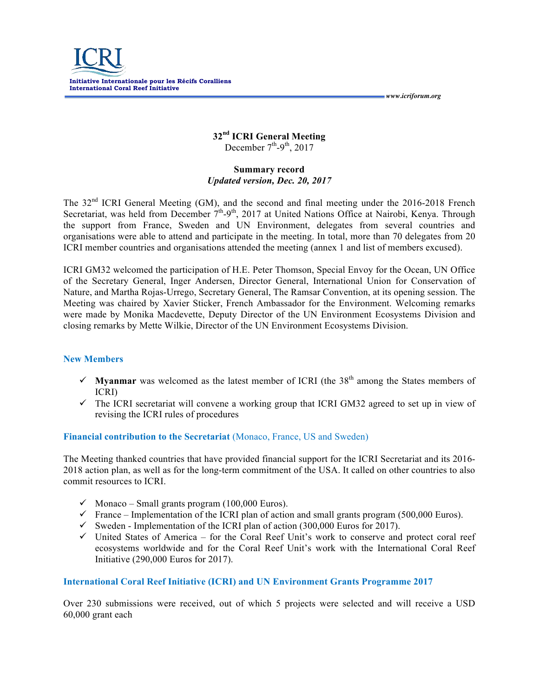

## **32nd ICRI General Meeting** December  $7<sup>th</sup> - 9<sup>th</sup>$ , 2017

 *www.icriforum.org* 

## **Summary record** *Updated version, Dec. 20, 2017*

The 32<sup>nd</sup> ICRI General Meeting (GM), and the second and final meeting under the 2016-2018 French Secretariat, was held from December  $\tilde{7}^{th}$ -9<sup>th</sup>, 2017 at United Nations Office at Nairobi, Kenya. Through the support from France, Sweden and UN Environment, delegates from several countries and organisations were able to attend and participate in the meeting. In total, more than 70 delegates from 20 ICRI member countries and organisations attended the meeting (annex 1 and list of members excused).

ICRI GM32 welcomed the participation of H.E. Peter Thomson, Special Envoy for the Ocean, UN Office of the Secretary General, Inger Andersen, Director General, International Union for Conservation of Nature, and Martha Rojas-Urrego, Secretary General, The Ramsar Convention, at its opening session. The Meeting was chaired by Xavier Sticker, French Ambassador for the Environment. Welcoming remarks were made by Monika Macdevette, Deputy Director of the UN Environment Ecosystems Division and closing remarks by Mette Wilkie, Director of the UN Environment Ecosystems Division.

## **New Members**

- $\checkmark$  **Myanmar** was welcomed as the latest member of ICRI (the 38<sup>th</sup> among the States members of ICRI)
- $\checkmark$  The ICRI secretariat will convene a working group that ICRI GM32 agreed to set up in view of revising the ICRI rules of procedures

## **Financial contribution to the Secretariat** (Monaco, France, US and Sweden)

The Meeting thanked countries that have provided financial support for the ICRI Secretariat and its 2016- 2018 action plan, as well as for the long-term commitment of the USA. It called on other countries to also commit resources to ICRI.

- $\checkmark$  Monaco Small grants program (100,000 Euros).
- $\checkmark$  France Implementation of the ICRI plan of action and small grants program (500,000 Euros).
- $\checkmark$  Sweden Implementation of the ICRI plan of action (300,000 Euros for 2017).
- $\checkmark$  United States of America for the Coral Reef Unit's work to conserve and protect coral reef ecosystems worldwide and for the Coral Reef Unit's work with the International Coral Reef Initiative (290,000 Euros for 2017).

## **International Coral Reef Initiative (ICRI) and UN Environment Grants Programme 2017**

Over 230 submissions were received, out of which 5 projects were selected and will receive a USD 60,000 grant each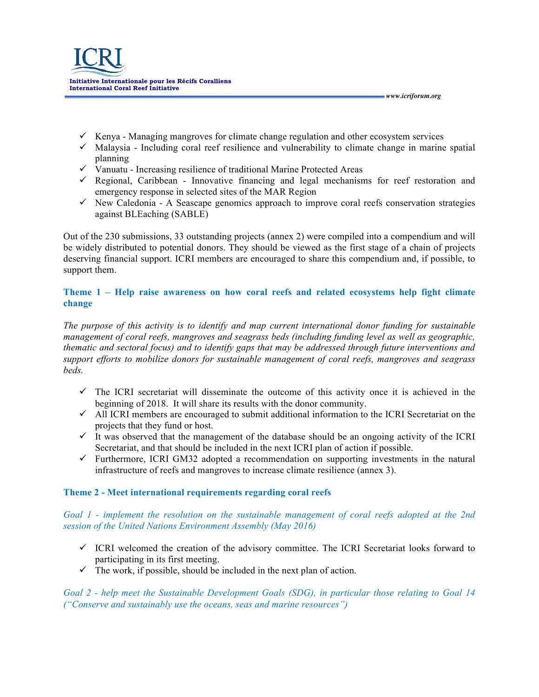

- $\checkmark$  Kenya Managing mangroves for climate change regulation and other ecosystem services
- $\checkmark$  Malaysia Including coral reef resilience and vulnerability to climate change in marine spatial planning
- $\checkmark$  Vanuatu Increasing resilience of traditional Marine Protected Areas
- $\checkmark$  Regional, Caribbean Innovative financing and legal mechanisms for reef restoration and emergency response in selected sites of the MAR Region
- $\checkmark$  New Caledonia A Seascape genomics approach to improve coral reefs conservation strategies against BLEaching (SABLE)

Out of the 230 submissions, 33 outstanding projects (annex 2) were compiled into a compendium and will be widely distributed to potential donors. They should be viewed as the first stage of a chain of projects deserving financial support. ICRI members are encouraged to share this compendium and, if possible, to support them.

## **Theme 1 – Help raise awareness on how coral reefs and related ecosystems help fight climate change**

*The purpose of this activity is to identify and map current international donor funding for sustainable management of coral reefs, mangroves and seagrass beds (including funding level as well as geographic, thematic and sectoral focus) and to identify gaps that may be addressed through future interventions and support efforts to mobilize donors for sustainable management of coral reefs, mangroves and seagrass beds.* 

- $\checkmark$  The ICRI secretariat will disseminate the outcome of this activity once it is achieved in the beginning of 2018. It will share its results with the donor community.
- $\checkmark$  All ICRI members are encouraged to submit additional information to the ICRI Secretariat on the projects that they fund or host.
- $\checkmark$  It was observed that the management of the database should be an ongoing activity of the ICRI Secretariat, and that should be included in the next ICRI plan of action if possible.
- $\checkmark$  Furthermore, ICRI GM32 adopted a recommendation on supporting investments in the natural infrastructure of reefs and mangroves to increase climate resilience (annex 3).

## **Theme 2 - Meet international requirements regarding coral reefs**

*Goal 1 - implement the resolution on the sustainable management of coral reefs adopted at the 2nd session of the United Nations Environment Assembly (May 2016)* 

- $\checkmark$  ICRI welcomed the creation of the advisory committee. The ICRI Secretariat looks forward to participating in its first meeting.
- $\checkmark$  The work, if possible, should be included in the next plan of action.

*Goal 2 - help meet the Sustainable Development Goals (SDG), in particular those relating to Goal 14 ("Conserve and sustainably use the oceans, seas and marine resources")*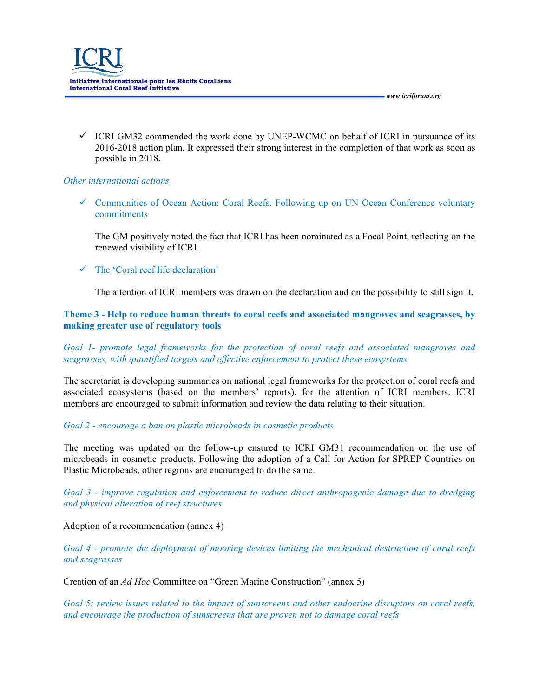

 $\checkmark$  ICRI GM32 commended the work done by UNEP-WCMC on behalf of ICRI in pursuance of its 2016-2018 action plan. It expressed their strong interest in the completion of that work as soon as possible in 2018.

#### *Other international actions*

 $\checkmark$  Communities of Ocean Action: Coral Reefs. Following up on UN Ocean Conference voluntary commitments

The GM positively noted the fact that ICRI has been nominated as a Focal Point, reflecting on the renewed visibility of ICRI.

 $\checkmark$  The 'Coral reef life declaration'

The attention of ICRI members was drawn on the declaration and on the possibility to still sign it.

### **Theme 3 - Help to reduce human threats to coral reefs and associated mangroves and seagrasses, by making greater use of regulatory tools**

*Goal 1- promote legal frameworks for the protection of coral reefs and associated mangroves and seagrasses, with quantified targets and effective enforcement to protect these ecosystems* 

The secretariat is developing summaries on national legal frameworks for the protection of coral reefs and associated ecosystems (based on the members' reports), for the attention of ICRI members. ICRI members are encouraged to submit information and review the data relating to their situation.

*Goal 2 - encourage a ban on plastic microbeads in cosmetic products* 

The meeting was updated on the follow-up ensured to ICRI GM31 recommendation on the use of microbeads in cosmetic products. Following the adoption of a Call for Action for SPREP Countries on Plastic Microbeads, other regions are encouraged to do the same.

*Goal 3 - improve regulation and enforcement to reduce direct anthropogenic damage due to dredging and physical alteration of reef structures* 

Adoption of a recommendation (annex 4)

*Goal 4 - promote the deployment of mooring devices limiting the mechanical destruction of coral reefs and seagrasses* 

Creation of an *Ad Hoc* Committee on "Green Marine Construction" (annex 5)

*Goal 5: review issues related to the impact of sunscreens and other endocrine disruptors on coral reefs, and encourage the production of sunscreens that are proven not to damage coral reefs*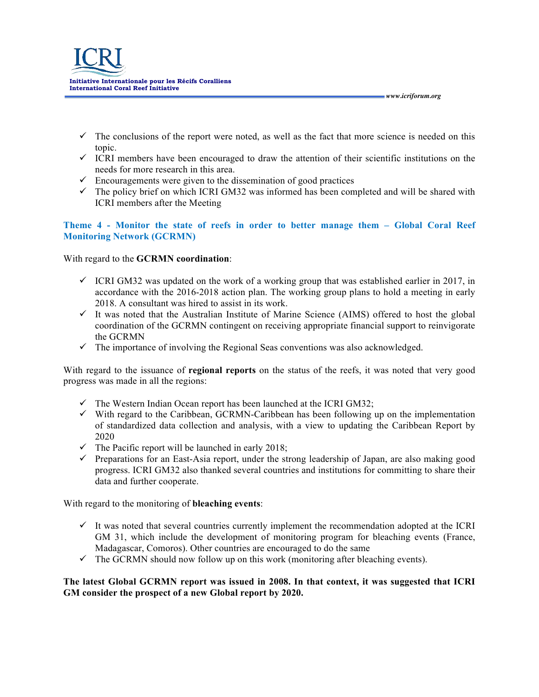

 $\checkmark$  The conclusions of the report were noted, as well as the fact that more science is needed on this topic.

 *www.icriforum.org* 

- $\checkmark$  ICRI members have been encouraged to draw the attention of their scientific institutions on the needs for more research in this area.
- $\checkmark$  Encouragements were given to the dissemination of good practices
- $\checkmark$  The policy brief on which ICRI GM32 was informed has been completed and will be shared with ICRI members after the Meeting

## **Theme 4 - Monitor the state of reefs in order to better manage them – Global Coral Reef Monitoring Network (GCRMN)**

## With regard to the **GCRMN coordination**:

- $\checkmark$  ICRI GM32 was updated on the work of a working group that was established earlier in 2017, in accordance with the 2016-2018 action plan. The working group plans to hold a meeting in early 2018. A consultant was hired to assist in its work.
- $\checkmark$  It was noted that the Australian Institute of Marine Science (AIMS) offered to host the global coordination of the GCRMN contingent on receiving appropriate financial support to reinvigorate the GCRMN
- $\checkmark$  The importance of involving the Regional Seas conventions was also acknowledged.

With regard to the issuance of **regional reports** on the status of the reefs, it was noted that very good progress was made in all the regions:

- $\checkmark$  The Western Indian Ocean report has been launched at the ICRI GM32;
- $\checkmark$  With regard to the Caribbean, GCRMN-Caribbean has been following up on the implementation of standardized data collection and analysis, with a view to updating the Caribbean Report by 2020
- $\checkmark$  The Pacific report will be launched in early 2018;
- $\checkmark$  Preparations for an East-Asia report, under the strong leadership of Japan, are also making good progress. ICRI GM32 also thanked several countries and institutions for committing to share their data and further cooperate.

With regard to the monitoring of **bleaching events**:

- $\checkmark$  It was noted that several countries currently implement the recommendation adopted at the ICRI GM 31, which include the development of monitoring program for bleaching events (France, Madagascar, Comoros). Other countries are encouraged to do the same
- $\checkmark$  The GCRMN should now follow up on this work (monitoring after bleaching events).

## **The latest Global GCRMN report was issued in 2008. In that context, it was suggested that ICRI GM consider the prospect of a new Global report by 2020.**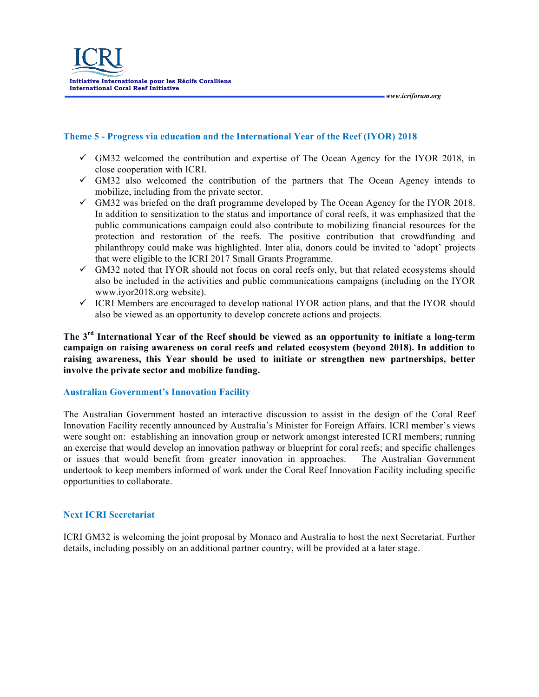

## **Theme 5 - Progress via education and the International Year of the Reef (IYOR) 2018**

- $\checkmark$  GM32 welcomed the contribution and expertise of The Ocean Agency for the IYOR 2018, in close cooperation with ICRI.
- $\checkmark$  GM32 also welcomed the contribution of the partners that The Ocean Agency intends to mobilize, including from the private sector.
- $\checkmark$  GM32 was briefed on the draft programme developed by The Ocean Agency for the IYOR 2018. In addition to sensitization to the status and importance of coral reefs, it was emphasized that the public communications campaign could also contribute to mobilizing financial resources for the protection and restoration of the reefs. The positive contribution that crowdfunding and philanthropy could make was highlighted. Inter alia, donors could be invited to 'adopt' projects that were eligible to the ICRI 2017 Small Grants Programme.
- $\checkmark$  GM32 noted that IYOR should not focus on coral reefs only, but that related ecosystems should also be included in the activities and public communications campaigns (including on the IYOR www.iyor2018.org website).
- $\checkmark$  ICRI Members are encouraged to develop national IYOR action plans, and that the IYOR should also be viewed as an opportunity to develop concrete actions and projects.

**The 3rd International Year of the Reef should be viewed as an opportunity to initiate a long-term campaign on raising awareness on coral reefs and related ecosystem (beyond 2018). In addition to raising awareness, this Year should be used to initiate or strengthen new partnerships, better involve the private sector and mobilize funding.**

#### **Australian Government's Innovation Facility**

The Australian Government hosted an interactive discussion to assist in the design of the Coral Reef Innovation Facility recently announced by Australia's Minister for Foreign Affairs. ICRI member's views were sought on: establishing an innovation group or network amongst interested ICRI members; running an exercise that would develop an innovation pathway or blueprint for coral reefs; and specific challenges or issues that would benefit from greater innovation in approaches. The Australian Government undertook to keep members informed of work under the Coral Reef Innovation Facility including specific opportunities to collaborate.

#### **Next ICRI Secretariat**

ICRI GM32 is welcoming the joint proposal by Monaco and Australia to host the next Secretariat. Further details, including possibly on an additional partner country, will be provided at a later stage.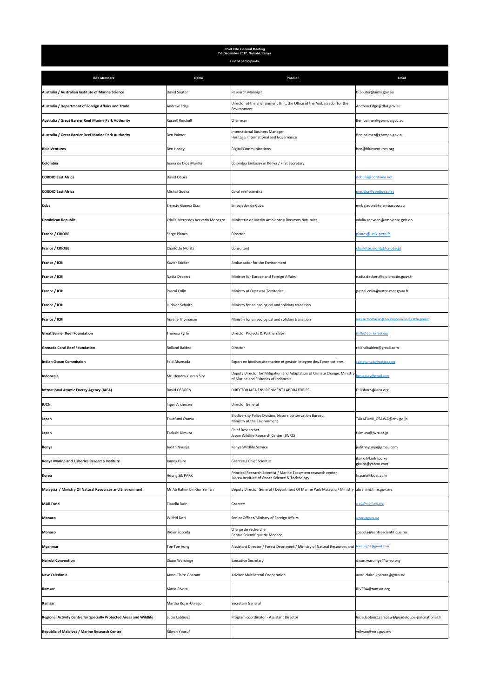| 32nd ICRI General Meeting<br>7-9 December 2017, Nairobi, Kenya      |                                 |                                                                                                                   |                                                  |  |
|---------------------------------------------------------------------|---------------------------------|-------------------------------------------------------------------------------------------------------------------|--------------------------------------------------|--|
|                                                                     |                                 | List of participants                                                                                              |                                                  |  |
| <b>ICRI Members</b>                                                 | Name                            | Position                                                                                                          | Email                                            |  |
| Australia / Australian Institute of Marine Science                  | David Souter                    | Research Manager                                                                                                  | D.Souter@aims.gov.au                             |  |
| Australia / Department of Foreign Affairs and Trade                 | Andrew Edge                     | Director of the Environment Unit, the Office of the Ambassador for the<br>Environment                             | Andrew.Edge@dfat.gov.au                          |  |
| Australia / Great Barrier Reef Marine Park Authority                | <b>Russell Reichelt</b>         | Chairman                                                                                                          | Ben.palmer@gbrmpa.gov.au                         |  |
| Australia / Great Barrier Reef Marine Park Authority                | <b>Ben Palmer</b>               | <b>International Business Manager</b><br>Heritage, International and Governance                                   | Ben.palmer@gbrmpa.gov.au                         |  |
| <b>Blue Ventures</b>                                                | <b>Ben Honey</b>                | <b>Digital Communications</b>                                                                                     | ben@blueventures.org                             |  |
| Colombia                                                            | Juana de Dios Murillo           | Colombia Embassy in Kenya / First Secretary                                                                       |                                                  |  |
| <b>CORDIO East Africa</b>                                           | David Obura                     |                                                                                                                   | dobura@cordioea.net                              |  |
| <b>CORDIO East Africa</b>                                           | Mishal Gudka                    | Coral reef scientist                                                                                              | mgudka@cordioea.net                              |  |
| Cuba                                                                | Ernesto Gómez Díaz              | Embajador de Cuba                                                                                                 | embajador@ke.embacuba.cu                         |  |
| <b>Dominican Republic</b>                                           | Ydalia Mercedes Acevedo Monegro | Ministerio de Medio Ambiente y Recursos Naturales                                                                 | ydalia.acevedo@ambiente.gob.do                   |  |
| France / CRIOBE                                                     | Serge Planes                    | Director                                                                                                          | planes@univ-perp.fr                              |  |
| France / CRIOBE                                                     | <b>Charlotte Moritz</b>         | Consultant                                                                                                        | charlotte.moritz@criobe.pf                       |  |
| France / ICRI                                                       | Xavier Sticker                  | Ambassador for the Environment                                                                                    |                                                  |  |
| France / ICRI                                                       | Nadia Deckert                   | Minister for Europe and Foreign Affairs                                                                           | nadia.deckert@diplomatie.gouv.fr                 |  |
| France / ICRI                                                       | Pascal Colin                    | Ministry of Overseas Territories                                                                                  | pascal.colin@outre-mer.gouv.fr                   |  |
| France / ICRI                                                       | Ludovic Schultz                 | Ministry for an ecological and solidary transition                                                                |                                                  |  |
| France / ICRI                                                       | Aurelie Thomassin               | Ministry for an ecological and solidary transition                                                                | aurelie.thomassin@developpement-durable.gouv.fr  |  |
| <b>Great Barrier Reef Foundation</b>                                | Theresa Fyffe                   | Director Projects & Partnerships                                                                                  | tfyffe@barrierreef.org                           |  |
| <b>Grenada Coral Reef Foundation</b>                                | Rolland Baldeo                  | Director                                                                                                          | rolandbaldeo@gmail.com                           |  |
| <b>Indian Ocean Commission</b>                                      | Said Ahamada                    | Expert en biodiversite marine et gestoin integree des Zones cotieres                                              | said.ahamada@coi-ioc.com                         |  |
| Indonesia                                                           | Mr. Hendra Yusran Siry          | Deputy Director for Mitigation and Adaptation of Climate Change, Ministry<br>of Marine and Fisheries of Indonesia | endrasiry@gmail.com                              |  |
| <b>Intrnational Atomic Energy Agency (IAEA)</b>                     | David OSBORN                    | DIRECTOR IAEA ENVIRONMENT LABORATORIES                                                                            | D.Osborn@iaea.org                                |  |
| <b>IUCN</b>                                                         | Inger Andersen                  | Director General                                                                                                  |                                                  |  |
| Japan                                                               | Takafumi Osawa                  | Biodiversity Policy Division, Nature conservation Bureau<br>Ministry of the Environment                           | TAKAFUMI_OSAWA@env.go.jp                         |  |
| Japan                                                               | Tadashi Kimura                  | Chief Researcher<br>Japan Wildlife Research Center (JWRC)                                                         | tkimura@jwrc.or.jp                               |  |
| Kenya                                                               | Judith Nyunja                   | Kenya Wildlife Service                                                                                            | judithnyunja@gmail.com                           |  |
| Kenya Marine and Fisheries Research Institute                       | James Kairo                     | Grantee / Chief Scientist                                                                                         | jkairo@kmfri.co.ke<br>gkairo@yahoo.com           |  |
| Korea                                                               | <b>Heung Sik PARK</b>           | Principal Research Scientist / Marine Ecosystem research center<br>Korea Institute of Ocean Science & Technology  | hspark@kiost.ac.kr                               |  |
| Malaysia / Ministry Of Natural Resources and Environment            | Mr Ab Rahim bin Gor Yaman       | Deputy Director General / Department Of Marine Park Malaysia / Ministry (abrahim@nre.gov.my                       |                                                  |  |
| <b>MAR Fund</b>                                                     | Claudia Ruiz                    | Grantee                                                                                                           | cruiz@marfund.org                                |  |
| Monaco                                                              | Wilfrid Deri                    | Senior Officer/Ministry of Foreign Affairs                                                                        | wderi@gouv.mc                                    |  |
| Monaco                                                              | Didier Zoccola                  | Chargé de recherche<br>Centre Scientifique de Monaco                                                              | zoccola@centrescientifique.mc                    |  |
| Myanmar                                                             | <b>Toe Toe Aung</b>             | Aissistant Director / Forest Deprtment / Ministry of Natural Resources and toeaung02@gmail.com                    |                                                  |  |
| <b>Nairobi Convention</b>                                           | Dixon Waruinge                  | Executive Secretary                                                                                               | dixon.waruinge@unep.org                          |  |
| <b>New Caledonia</b>                                                | Anne-Claire Goarant             | Advisor Multilateral Cooperation                                                                                  | anne-claire.goarant@gouv.nc                      |  |
| Ramsar                                                              | Maria Rivera                    |                                                                                                                   | RIVERA@ramsar.org                                |  |
| Ramsar                                                              | Martha Rojas-Urrego             | Secretary General                                                                                                 |                                                  |  |
| Regional Activity Centre for Specially Protected Areas and Wildlife | Lucie Labbouz                   | Program coordinator - Assistant Director                                                                          | lucie.labbouz.carspaw@guadeloupe-parcnational.fr |  |
| <b>Republic of Maldives / Marine Research Centre</b>                | Rilwan Yoosuf                   |                                                                                                                   | yrilwan@mrc.gov.mv                               |  |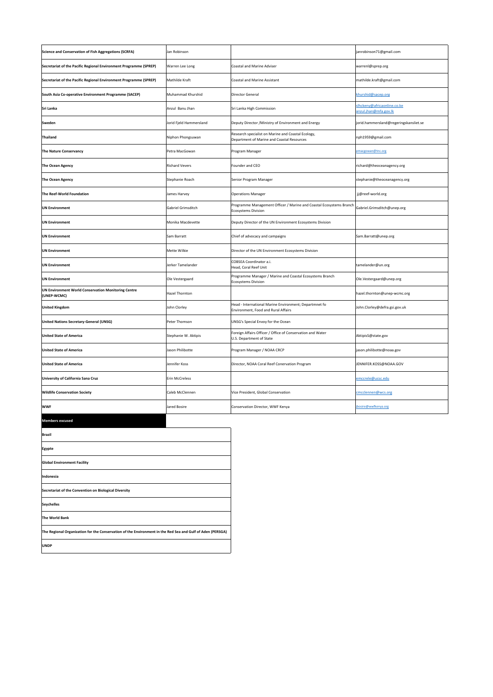| <b>Science and Conservation of Fish Aggregations (SCRFA)</b>              | Jan Robinson            |                                                                                                   | janrobinson71@gmail.com                              |
|---------------------------------------------------------------------------|-------------------------|---------------------------------------------------------------------------------------------------|------------------------------------------------------|
| Secretariat of the Pacific Regional Environment Programme (SPREP)         | Warren Lee Long         | <b>Coastal and Marine Adviser</b>                                                                 | warrenl@sprep.org                                    |
| Secretariat of the Pacific Regional Environment Programme (SPREP)         | Mathilde Kraft          | <b>Coastal and Marine Assistant</b>                                                               | mathilde.kraft@gmail.com                             |
| South Asia Co-operative Environment Programme (SACEP)                     | Muhammad Khurshid       | Director General                                                                                  | khurshid@sacep.org                                   |
| Sri Lanka                                                                 | Anzul Banu Jhan         | Sri Lanka High Commission                                                                         | slhckeny@africaonline.co.ke<br>anzul.jhan@mfa.gov.lk |
| Sweden                                                                    | Jorid Fjeld Hammersland | Deputy Director / Ministry of Environment and Energy                                              | jorid.hammersland@regeringskansliet.se               |
| <b>Thailand</b>                                                           | Niphon Phongsuwan       | Research specialist on Marine and Coastal Ecology,<br>Department of Marine and Coastal Resources  | nph1959@gmail.com                                    |
| <b>The Nature Conservancy</b>                                             | Petra MacGowan          | Program Manager                                                                                   | macgowan@tnc.org                                     |
| <b>The Ocean Agency</b>                                                   | <b>Richard Vevers</b>   | Founder and CEO                                                                                   | richard@theoceanagency.org                           |
| The Ocean Agency                                                          | Stephanie Roach         | Senior Program Manager                                                                            | stephanie@theoceanagency.org                         |
| The Reef-World Foundation                                                 | James Harvey            | <b>Operations Manager</b>                                                                         | jj@reef-world.org                                    |
| <b>UN Environment</b>                                                     | Gabriel Grimsditch      | Programme Management Officer / Marine and Coastal Ecosystems Branch<br><b>Ecosystems Division</b> | Gabriel.Grimsditch@unep.org                          |
| <b>UN Environment</b>                                                     | Monika Macdevette       | Deputy Director of the UN Environment Ecosystems Division                                         |                                                      |
| <b>UN Environment</b>                                                     | Sam Barratt             | Chief of advocacy and campaigns                                                                   | Sam.Barratt@unep.org                                 |
| <b>UN Environment</b>                                                     | Mette Wilkie            | Director of the UN Environment Ecosystems Division                                                |                                                      |
| <b>UN Environment</b>                                                     | Jerker Tamelander       | COBSEA Coordinator a.i.<br>Head, Coral Reef Unit                                                  | tamelander@un.org                                    |
| <b>UN Environment</b>                                                     | Ole Vestergaard         | Programme Manager / Marine and Coastal Ecosystems Branch<br><b>Ecosystems Division</b>            | Ole.Vestergaard@unep.org                             |
| <b>UN Environment World Conservation Monitoring Centre</b><br>(UNEP-WCMC) | <b>Hazel Thornton</b>   |                                                                                                   | hazel.thornton@unep-wcmc.org                         |
| <b>United Kingdom</b>                                                     | John Clorley            | Head - International Marine Environment; Departmnet fo<br>Environment, Food and Rural Affairs     | John.Clorley@defra.gsi.gov.uk                        |
| <b>United Nations Secretary-General (UNSG)</b>                            | Peter Thomson           | UNSG's Special Envoy for the Ocean                                                                |                                                      |
| <b>United State of America</b>                                            | Stephanie W. Aktipis    | Foreign Affairs Officer / Office of Conservation and Water<br>U.S. Department of State            | AktipisS@state.gov                                   |
| <b>United State of America</b>                                            | Jason Philibotte        | Program Manager / NOAA CRCP                                                                       | jason.philibotte@noaa.gov                            |
| <b>United State of America</b>                                            | Jennifer Koss           | Director, NOAA Coral Reef Conervation Program                                                     | JENNIFER.KOSS@NOAA.GOV                               |
| University of California Sana Cruz                                        | <b>Erin McCreless</b>   |                                                                                                   | emccrele@ucsc.edu                                    |
| <b>Wildlife Conservation Society</b>                                      | Caleb McClennen         | Vice President, Global Conservation                                                               | cmcclennen@wcs.org                                   |
| <b>WWF</b>                                                                | Jared Bosire            | Conservation Director, WWF Kenya                                                                  | bosire@wwfkenva.org                                  |
| <b>Members excused</b>                                                    |                         |                                                                                                   |                                                      |

| <b>Brazil</b>                                                                                              |
|------------------------------------------------------------------------------------------------------------|
| Egypte                                                                                                     |
| <b>Global Environment Facility</b>                                                                         |
| Indonesia                                                                                                  |
| Secretariat of the Convention on Biological Diversity                                                      |
| <b>Seychelles</b>                                                                                          |
| <b>The World Bank</b>                                                                                      |
| The Regional Organization for the Conservation of the Environment in the Red Sea and Gulf of Aden (PERSGA) |
| <b>UNDP</b>                                                                                                |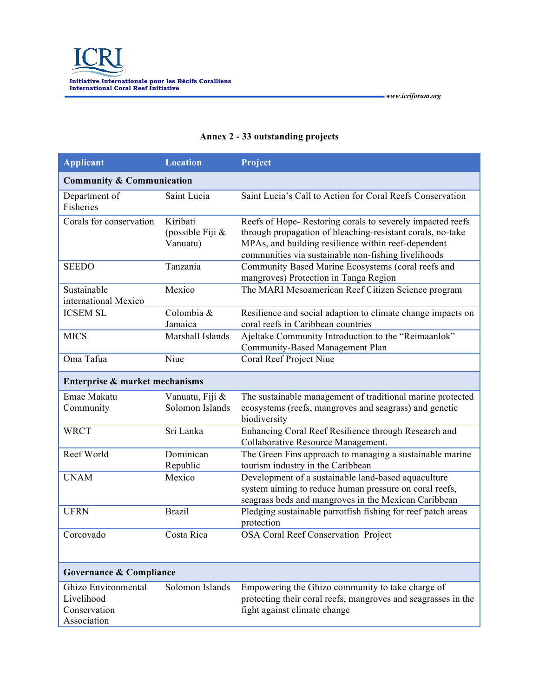| <b>Applicant</b>                                                 | <b>Location</b>                             | Project                                                                                                                                                                                                                               |  |  |
|------------------------------------------------------------------|---------------------------------------------|---------------------------------------------------------------------------------------------------------------------------------------------------------------------------------------------------------------------------------------|--|--|
|                                                                  | <b>Community &amp; Communication</b>        |                                                                                                                                                                                                                                       |  |  |
| Department of<br><b>Fisheries</b>                                | Saint Lucia                                 | Saint Lucia's Call to Action for Coral Reefs Conservation                                                                                                                                                                             |  |  |
| Corals for conservation                                          | Kiribati<br>(possible Fiji $\&$<br>Vanuatu) | Reefs of Hope-Restoring corals to severely impacted reefs<br>through propagation of bleaching-resistant corals, no-take<br>MPAs, and building resilience within reef-dependent<br>communities via sustainable non-fishing livelihoods |  |  |
| <b>SEEDO</b>                                                     | Tanzania                                    | Community Based Marine Ecosystems (coral reefs and<br>mangroves) Protection in Tanga Region                                                                                                                                           |  |  |
| Sustainable<br>international Mexico                              | Mexico                                      | The MARI Mesoamerican Reef Citizen Science program                                                                                                                                                                                    |  |  |
| <b>ICSEM SL</b>                                                  | Colombia &<br>Jamaica                       | Resilience and social adaption to climate change impacts on<br>coral reefs in Caribbean countries                                                                                                                                     |  |  |
| <b>MICS</b>                                                      | Marshall Islands                            | Ajeltake Community Introduction to the "Reimaanlok"<br>Community-Based Management Plan                                                                                                                                                |  |  |
| Oma Tafua                                                        | Niue                                        | Coral Reef Project Niue                                                                                                                                                                                                               |  |  |
| Enterprise & market mechanisms                                   |                                             |                                                                                                                                                                                                                                       |  |  |
| Emae Makatu<br>Community                                         | Vanuatu, Fiji &<br>Solomon Islands          | The sustainable management of traditional marine protected<br>ecosystems (reefs, mangroves and seagrass) and genetic<br>biodiversity                                                                                                  |  |  |
| <b>WRCT</b>                                                      | Sri Lanka                                   | Enhancing Coral Reef Resilience through Research and<br>Collaborative Resource Management.                                                                                                                                            |  |  |
| Reef World                                                       | Dominican<br>Republic                       | The Green Fins approach to managing a sustainable marine<br>tourism industry in the Caribbean                                                                                                                                         |  |  |
| <b>UNAM</b>                                                      | Mexico                                      | Development of a sustainable land-based aquaculture<br>system aiming to reduce human pressure on coral reefs,<br>seagrass beds and mangroves in the Mexican Caribbean                                                                 |  |  |
| <b>UFRN</b>                                                      | <b>Brazil</b>                               | Pledging sustainable parrotfish fishing for reef patch areas<br>protection                                                                                                                                                            |  |  |
| Corcovado                                                        | Costa Rica                                  | <b>OSA Coral Reef Conservation Project</b>                                                                                                                                                                                            |  |  |
| Governance & Compliance                                          |                                             |                                                                                                                                                                                                                                       |  |  |
| Ghizo Environmental<br>Livelihood<br>Conservation<br>Association | Solomon Islands                             | Empowering the Ghizo community to take charge of<br>protecting their coral reefs, mangroves and seagrasses in the<br>fight against climate change                                                                                     |  |  |

# **Annex 2 - 33 outstanding projects**

 *www.icriforum.org*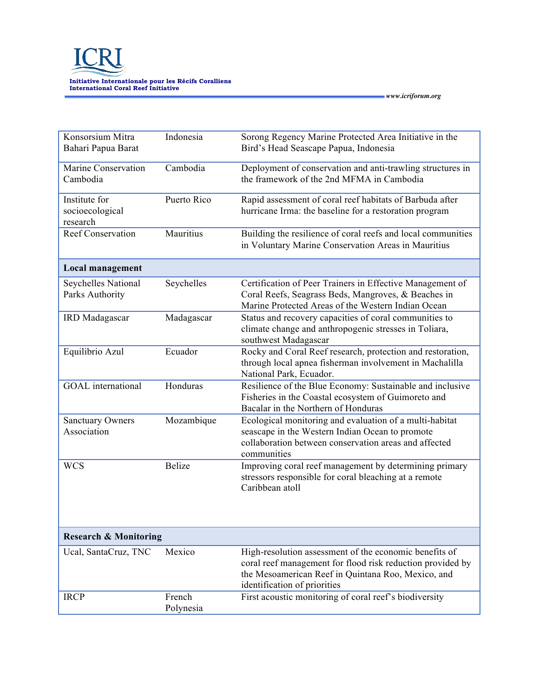

| Konsorsium Mitra<br>Bahari Papua Barat       | Indonesia           | Sorong Regency Marine Protected Area Initiative in the<br>Bird's Head Seascape Papua, Indonesia                                                                                                            |
|----------------------------------------------|---------------------|------------------------------------------------------------------------------------------------------------------------------------------------------------------------------------------------------------|
| Marine Conservation<br>Cambodia              | Cambodia            | Deployment of conservation and anti-trawling structures in<br>the framework of the 2nd MFMA in Cambodia                                                                                                    |
| Institute for<br>socioecological<br>research | Puerto Rico         | Rapid assessment of coral reef habitats of Barbuda after<br>hurricane Irma: the baseline for a restoration program                                                                                         |
| <b>Reef Conservation</b>                     | Mauritius           | Building the resilience of coral reefs and local communities<br>in Voluntary Marine Conservation Areas in Mauritius                                                                                        |
| Local management                             |                     |                                                                                                                                                                                                            |
| Seychelles National<br>Parks Authority       | Seychelles          | Certification of Peer Trainers in Effective Management of<br>Coral Reefs, Seagrass Beds, Mangroves, & Beaches in<br>Marine Protected Areas of the Western Indian Ocean                                     |
| IRD Madagascar                               | Madagascar          | Status and recovery capacities of coral communities to<br>climate change and anthropogenic stresses in Toliara,<br>southwest Madagascar                                                                    |
| Equilibrio Azul                              | Ecuador             | Rocky and Coral Reef research, protection and restoration,<br>through local apnea fisherman involvement in Machalilla<br>National Park, Ecuador.                                                           |
| <b>GOAL</b> international                    | Honduras            | Resilience of the Blue Economy: Sustainable and inclusive<br>Fisheries in the Coastal ecosystem of Guimoreto and<br>Bacalar in the Northern of Honduras                                                    |
| <b>Sanctuary Owners</b><br>Association       | Mozambique          | Ecological monitoring and evaluation of a multi-habitat<br>seascape in the Western Indian Ocean to promote<br>collaboration between conservation areas and affected<br>communities                         |
| <b>WCS</b>                                   | <b>Belize</b>       | Improving coral reef management by determining primary<br>stressors responsible for coral bleaching at a remote<br>Caribbean atoll                                                                         |
| <b>Research &amp; Monitoring</b>             |                     |                                                                                                                                                                                                            |
| Ucal, SantaCruz, TNC                         | Mexico              | High-resolution assessment of the economic benefits of<br>coral reef management for flood risk reduction provided by<br>the Mesoamerican Reef in Quintana Roo, Mexico, and<br>identification of priorities |
| <b>IRCP</b>                                  | French<br>Polynesia | First acoustic monitoring of coral reef's biodiversity                                                                                                                                                     |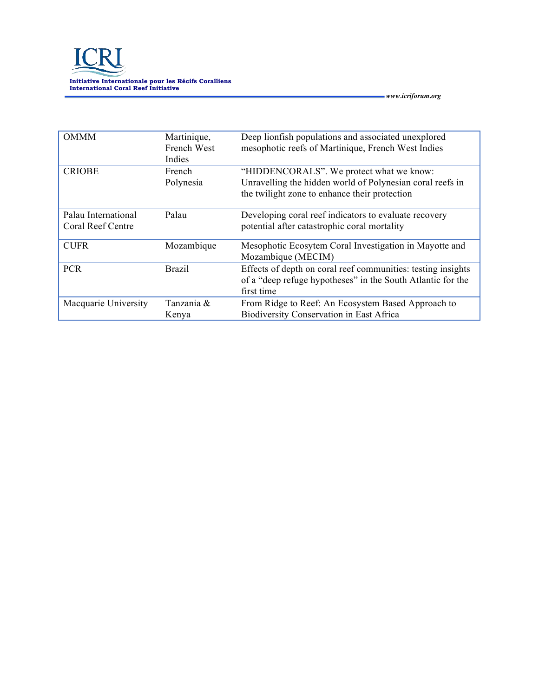| <b>OMMM</b>                              | Martinique,<br>French West<br>Indies | Deep lionfish populations and associated unexplored<br>mesophotic reefs of Martinique, French West Indies                                              |
|------------------------------------------|--------------------------------------|--------------------------------------------------------------------------------------------------------------------------------------------------------|
| <b>CRIOBE</b>                            | French<br>Polynesia                  | "HIDDENCORALS". We protect what we know:<br>Unravelling the hidden world of Polynesian coral reefs in<br>the twilight zone to enhance their protection |
| Palau International<br>Coral Reef Centre | Palau                                | Developing coral reef indicators to evaluate recovery<br>potential after catastrophic coral mortality                                                  |
| <b>CUFR</b>                              | Mozambique                           | Mesophotic Ecosytem Coral Investigation in Mayotte and<br>Mozambique (MECIM)                                                                           |
| <b>PCR</b>                               | <b>Brazil</b>                        | Effects of depth on coral reef communities: testing insights<br>of a "deep refuge hypotheses" in the South Atlantic for the<br>first time              |
| Macquarie University                     | Tanzania &<br>Kenya                  | From Ridge to Reef: An Ecosystem Based Approach to<br><b>Biodiversity Conservation in East Africa</b>                                                  |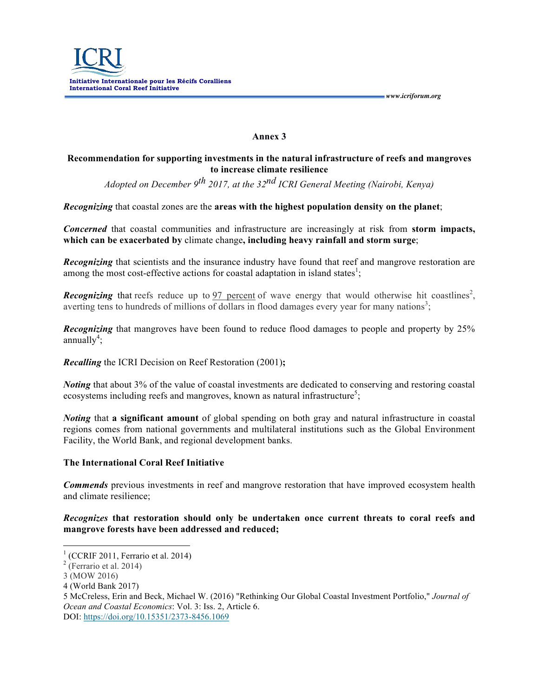## **Annex 3**

## **Recommendation for supporting investments in the natural infrastructure of reefs and mangroves to increase climate resilience**

*Adopted on December 9th 2017, at the 32nd ICRI General Meeting (Nairobi, Kenya)*

*Recognizing* that coastal zones are the **areas with the highest population density on the planet**;

*Concerned* that coastal communities and infrastructure are increasingly at risk from **storm impacts, which can be exacerbated by** climate change**, including heavy rainfall and storm surge**;

*Recognizing* that scientists and the insurance industry have found that reef and mangrove restoration are among the most cost-effective actions for coastal adaptation in island states<sup>1</sup>;

**Recognizing** that reefs reduce up to 97 percent of wave energy that would otherwise hit coastlines<sup>2</sup>, averting tens to hundreds of millions of dollars in flood damages every year for many nations<sup>3</sup>;

*Recognizing* that mangroves have been found to reduce flood damages to people and property by 25%  $annually<sup>4</sup>$ ;

*Recalling* the ICRI Decision on Reef Restoration (2001)**;**

*Noting* that about 3% of the value of coastal investments are dedicated to conserving and restoring coastal ecosystems including reefs and mangroves, known as natural infrastructure<sup>5</sup>;

*Noting* that **a significant amount** of global spending on both gray and natural infrastructure in coastal regions comes from national governments and multilateral institutions such as the Global Environment Facility, the World Bank, and regional development banks.

## **The International Coral Reef Initiative**

*Commends* previous investments in reef and mangrove restoration that have improved ecosystem health and climate resilience;

## *Recognizes* **that restoration should only be undertaken once current threats to coral reefs and mangrove forests have been addressed and reduced;**

DOI: https://doi.org/10.15351/2373-8456.1069

 $<sup>1</sup>$  (CCRIF 2011, Ferrario et al. 2014)</sup>

 $2$  (Ferrario et al. 2014)

<sup>3</sup> (MOW 2016)

<sup>4</sup> (World Bank 2017)

<sup>5</sup> McCreless, Erin and Beck, Michael W. (2016) "Rethinking Our Global Coastal Investment Portfolio," *Journal of Ocean and Coastal Economics*: Vol. 3: Iss. 2, Article 6.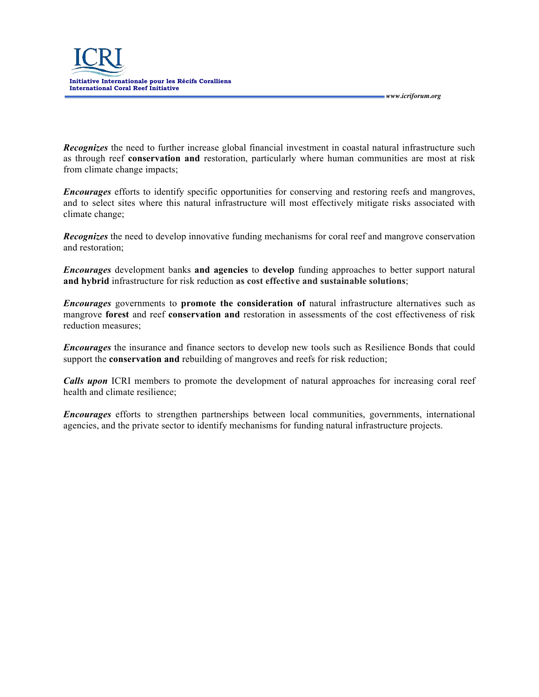

*Recognizes* the need to further increase global financial investment in coastal natural infrastructure such as through reef **conservation and** restoration, particularly where human communities are most at risk from climate change impacts;

 *www.icriforum.org* 

*Encourages* efforts to identify specific opportunities for conserving and restoring reefs and mangroves, and to select sites where this natural infrastructure will most effectively mitigate risks associated with climate change;

*Recognizes* the need to develop innovative funding mechanisms for coral reef and mangrove conservation and restoration;

*Encourages* development banks **and agencies** to **develop** funding approaches to better support natural **and hybrid** infrastructure for risk reduction **as cost effective and sustainable solutions**;

*Encourages* governments to **promote the consideration of** natural infrastructure alternatives such as mangrove **forest** and reef **conservation and** restoration in assessments of the cost effectiveness of risk reduction measures;

*Encourages* the insurance and finance sectors to develop new tools such as Resilience Bonds that could support the **conservation and** rebuilding of mangroves and reefs for risk reduction;

*Calls upon* ICRI members to promote the development of natural approaches for increasing coral reef health and climate resilience;

*Encourages* efforts to strengthen partnerships between local communities, governments, international agencies, and the private sector to identify mechanisms for funding natural infrastructure projects.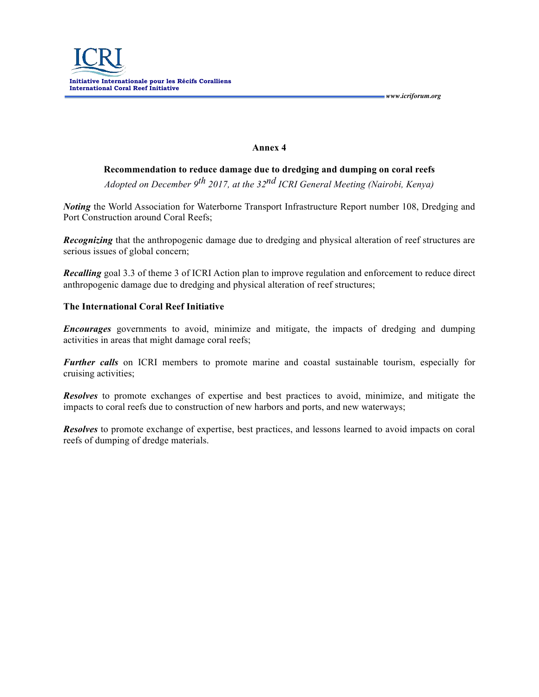

#### **Annex 4**

**Recommendation to reduce damage due to dredging and dumping on coral reefs** *Adopted on December 9th 2017, at the 32nd ICRI General Meeting (Nairobi, Kenya)*

*Noting* the World Association for Waterborne Transport Infrastructure Report number 108, Dredging and Port Construction around Coral Reefs;

*Recognizing* that the anthropogenic damage due to dredging and physical alteration of reef structures are serious issues of global concern;

*Recalling* goal 3.3 of theme 3 of ICRI Action plan to improve regulation and enforcement to reduce direct anthropogenic damage due to dredging and physical alteration of reef structures;

#### **The International Coral Reef Initiative**

*Encourages* governments to avoid, minimize and mitigate, the impacts of dredging and dumping activities in areas that might damage coral reefs;

*Further calls* on ICRI members to promote marine and coastal sustainable tourism, especially for cruising activities;

*Resolves* to promote exchanges of expertise and best practices to avoid, minimize, and mitigate the impacts to coral reefs due to construction of new harbors and ports, and new waterways;

*Resolves* to promote exchange of expertise, best practices, and lessons learned to avoid impacts on coral reefs of dumping of dredge materials.